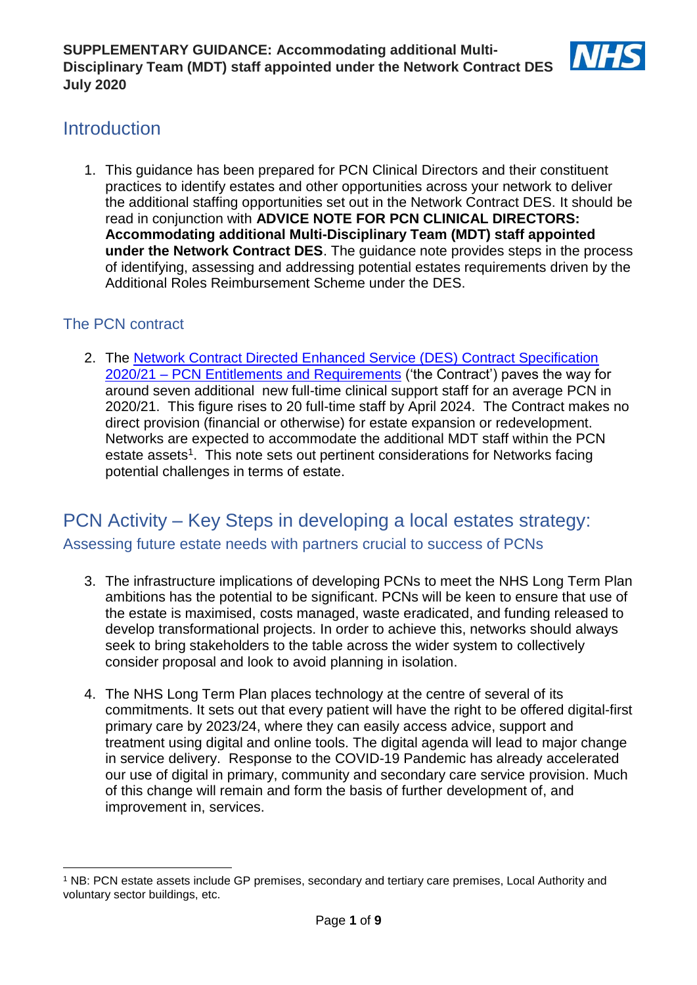

# **Introduction**

1. This guidance has been prepared for PCN Clinical Directors and their constituent practices to identify estates and other opportunities across your network to deliver the additional staffing opportunities set out in the Network Contract DES. It should be read in conjunction with **ADVICE NOTE FOR PCN CLINICAL DIRECTORS: Accommodating additional Multi-Disciplinary Team (MDT) staff appointed under the Network Contract DES**. The guidance note provides steps in the process of identifying, assessing and addressing potential estates requirements driven by the Additional Roles Reimbursement Scheme under the DES.

# The PCN contract

1

2. The [Network Contract Directed Enhanced Service \(DES\) Contract Specification](https://www.england.nhs.uk/wp-content/uploads/2020/03/network-contract-des-specification-pcn-requirements-entitlements-2020-21.pdf)  2020/21 – [PCN Entitlements and Requirements](https://www.england.nhs.uk/wp-content/uploads/2020/03/network-contract-des-specification-pcn-requirements-entitlements-2020-21.pdf) ('the Contract') paves the way for around seven additional new full-time clinical support staff for an average PCN in 2020/21. This figure rises to 20 full-time staff by April 2024. The Contract makes no direct provision (financial or otherwise) for estate expansion or redevelopment. Networks are expected to accommodate the additional MDT staff within the PCN estate assets<sup>1</sup>. This note sets out pertinent considerations for Networks facing potential challenges in terms of estate.

# PCN Activity – Key Steps in developing a local estates strategy: Assessing future estate needs with partners crucial to success of PCNs

- 3. The infrastructure implications of developing PCNs to meet the NHS Long Term Plan ambitions has the potential to be significant. PCNs will be keen to ensure that use of the estate is maximised, costs managed, waste eradicated, and funding released to develop transformational projects. In order to achieve this, networks should always seek to bring stakeholders to the table across the wider system to collectively consider proposal and look to avoid planning in isolation.
- 4. The NHS Long Term Plan places technology at the centre of several of its commitments. It sets out that every patient will have the right to be offered digital-first primary care by 2023/24, where they can easily access advice, support and treatment using digital and online tools. The digital agenda will lead to major change in service delivery. Response to the COVID-19 Pandemic has already accelerated our use of digital in primary, community and secondary care service provision. Much of this change will remain and form the basis of further development of, and improvement in, services.

<sup>1</sup> NB: PCN estate assets include GP premises, secondary and tertiary care premises, Local Authority and voluntary sector buildings, etc.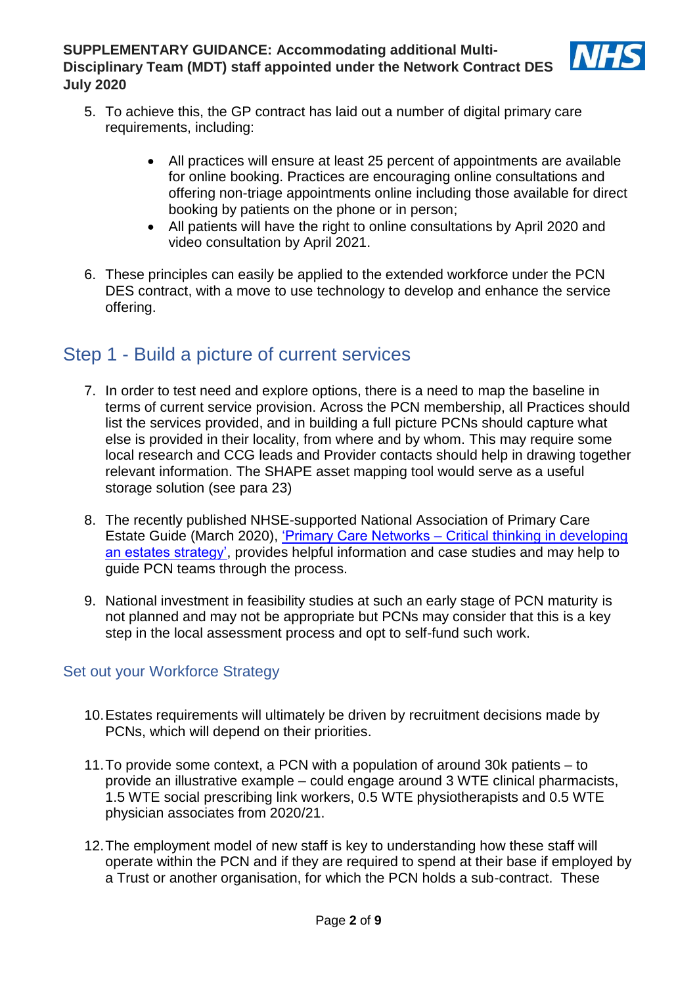

- 5. To achieve this, the GP contract has laid out a number of digital primary care requirements, including:
	- All practices will ensure at least 25 percent of appointments are available for online booking. Practices are encouraging online consultations and offering non-triage appointments online including those available for direct booking by patients on the phone or in person;
	- All patients will have the right to online consultations by April 2020 and video consultation by April 2021.
- 6. These principles can easily be applied to the extended workforce under the PCN DES contract, with a move to use technology to develop and enhance the service offering.

# Step 1 - Build a picture of current services

- 7. In order to test need and explore options, there is a need to map the baseline in terms of current service provision. Across the PCN membership, all Practices should list the services provided, and in building a full picture PCNs should capture what else is provided in their locality, from where and by whom. This may require some local research and CCG leads and Provider contacts should help in drawing together relevant information. The SHAPE asset mapping tool would serve as a useful storage solution (see para 23)
- 8. The recently published NHSE-supported National Association of Primary Care Estate Guide (March 2020), 'Primary Care Networks – [Critical thinking in developing](https://napc.co.uk/wp-content/PDF/NAPC_estates_guide_web.pdf)  [an estates strategy',](https://napc.co.uk/wp-content/PDF/NAPC_estates_guide_web.pdf) provides helpful information and case studies and may help to guide PCN teams through the process.
- 9. National investment in feasibility studies at such an early stage of PCN maturity is not planned and may not be appropriate but PCNs may consider that this is a key step in the local assessment process and opt to self-fund such work.

# Set out your Workforce Strategy

- 10.Estates requirements will ultimately be driven by recruitment decisions made by PCNs, which will depend on their priorities.
- 11.To provide some context, a PCN with a population of around 30k patients to provide an illustrative example – could engage around 3 WTE clinical pharmacists, 1.5 WTE social prescribing link workers, 0.5 WTE physiotherapists and 0.5 WTE physician associates from 2020/21.
- 12.The employment model of new staff is key to understanding how these staff will operate within the PCN and if they are required to spend at their base if employed by a Trust or another organisation, for which the PCN holds a sub-contract. These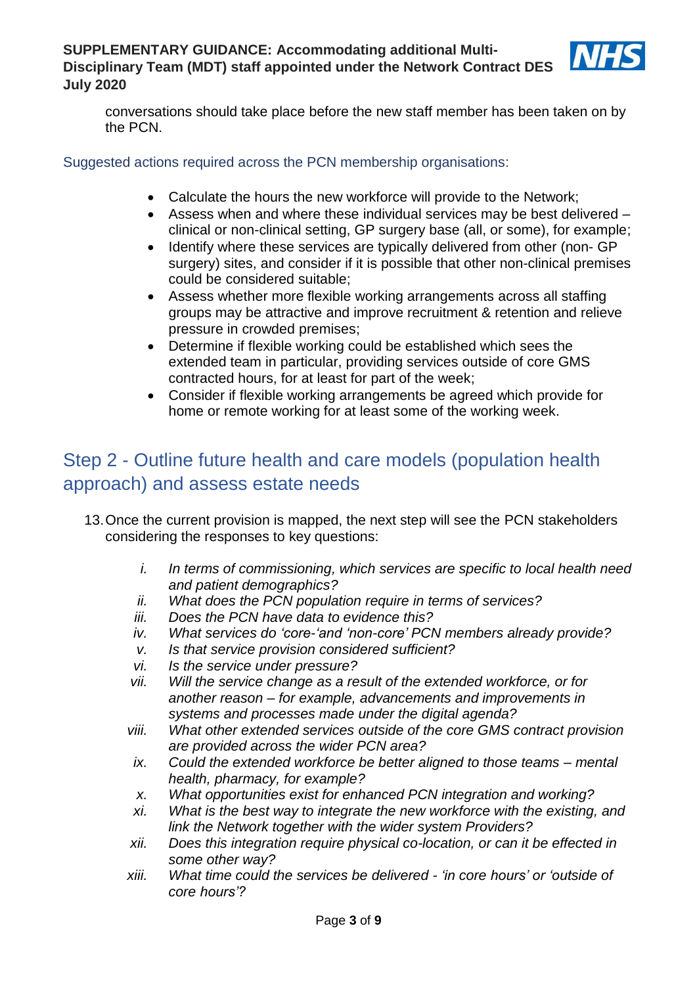

conversations should take place before the new staff member has been taken on by the PCN.

#### Suggested actions required across the PCN membership organisations:

- Calculate the hours the new workforce will provide to the Network;
- Assess when and where these individual services may be best delivered clinical or non-clinical setting, GP surgery base (all, or some), for example;
- Identify where these services are typically delivered from other (non- GP surgery) sites, and consider if it is possible that other non-clinical premises could be considered suitable;
- Assess whether more flexible working arrangements across all staffing groups may be attractive and improve recruitment & retention and relieve pressure in crowded premises;
- Determine if flexible working could be established which sees the extended team in particular, providing services outside of core GMS contracted hours, for at least for part of the week;
- Consider if flexible working arrangements be agreed which provide for home or remote working for at least some of the working week.

# Step 2 - Outline future health and care models (population health approach) and assess estate needs

- 13.Once the current provision is mapped, the next step will see the PCN stakeholders considering the responses to key questions:
	- *i. In terms of commissioning, which services are specific to local health need and patient demographics?*
	- *ii. What does the PCN population require in terms of services?*
	- *iii. Does the PCN have data to evidence this?*
	- *iv. What services do 'core-'and 'non-core' PCN members already provide?*
	- *v. Is that service provision considered sufficient?*
	- *vi. Is the service under pressure?*
	- *vii. Will the service change as a result of the extended workforce, or for another reason – for example, advancements and improvements in systems and processes made under the digital agenda?*
	- *viii. What other extended services outside of the core GMS contract provision are provided across the wider PCN area?*
	- *ix. Could the extended workforce be better aligned to those teams – mental health, pharmacy, for example?*
	- *x. What opportunities exist for enhanced PCN integration and working?*
	- *xi. What is the best way to integrate the new workforce with the existing, and link the Network together with the wider system Providers?*
	- *xii. Does this integration require physical co-location, or can it be effected in some other way?*
	- *xiii. What time could the services be delivered - 'in core hours' or 'outside of core hours'?*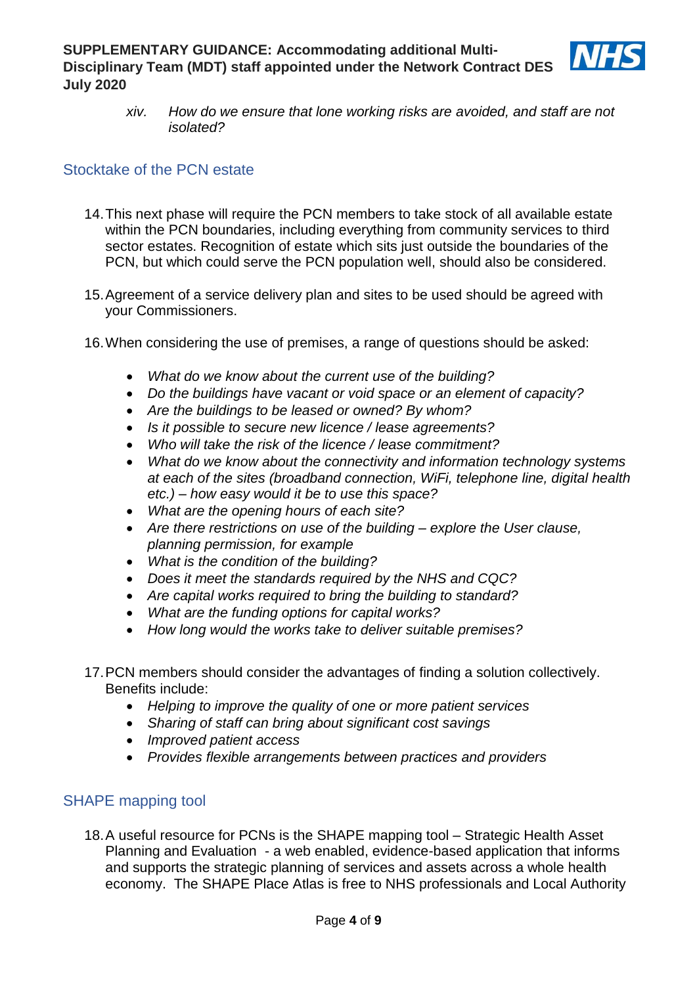

*xiv. How do we ensure that lone working risks are avoided, and staff are not isolated?*

### Stocktake of the PCN estate

- 14.This next phase will require the PCN members to take stock of all available estate within the PCN boundaries, including everything from community services to third sector estates. Recognition of estate which sits just outside the boundaries of the PCN, but which could serve the PCN population well, should also be considered.
- 15.Agreement of a service delivery plan and sites to be used should be agreed with your Commissioners.
- 16.When considering the use of premises, a range of questions should be asked:
	- *What do we know about the current use of the building?*
	- *Do the buildings have vacant or void space or an element of capacity?*
	- *Are the buildings to be leased or owned? By whom?*
	- *Is it possible to secure new licence / lease agreements?*
	- *Who will take the risk of the licence / lease commitment?*
	- *What do we know about the connectivity and information technology systems at each of the sites (broadband connection, WiFi, telephone line, digital health etc.) – how easy would it be to use this space?*
	- *What are the opening hours of each site?*
	- *Are there restrictions on use of the building – explore the User clause, planning permission, for example*
	- *What is the condition of the building?*
	- *Does it meet the standards required by the NHS and CQC?*
	- *Are capital works required to bring the building to standard?*
	- *What are the funding options for capital works?*
	- *How long would the works take to deliver suitable premises?*
- 17.PCN members should consider the advantages of finding a solution collectively. Benefits include:
	- *Helping to improve the quality of one or more patient services*
	- *Sharing of staff can bring about significant cost savings*
	- *Improved patient access*
	- *Provides flexible arrangements between practices and providers*

### SHAPE mapping tool

18.A useful resource for PCNs is the [SHAPE mapping tool](https://shapeatlas.net/) – Strategic Health Asset Planning and Evaluation - a web enabled, evidence-based application that informs and supports the strategic planning of services and assets across a whole health economy. The SHAPE Place Atlas is free to NHS professionals and Local Authority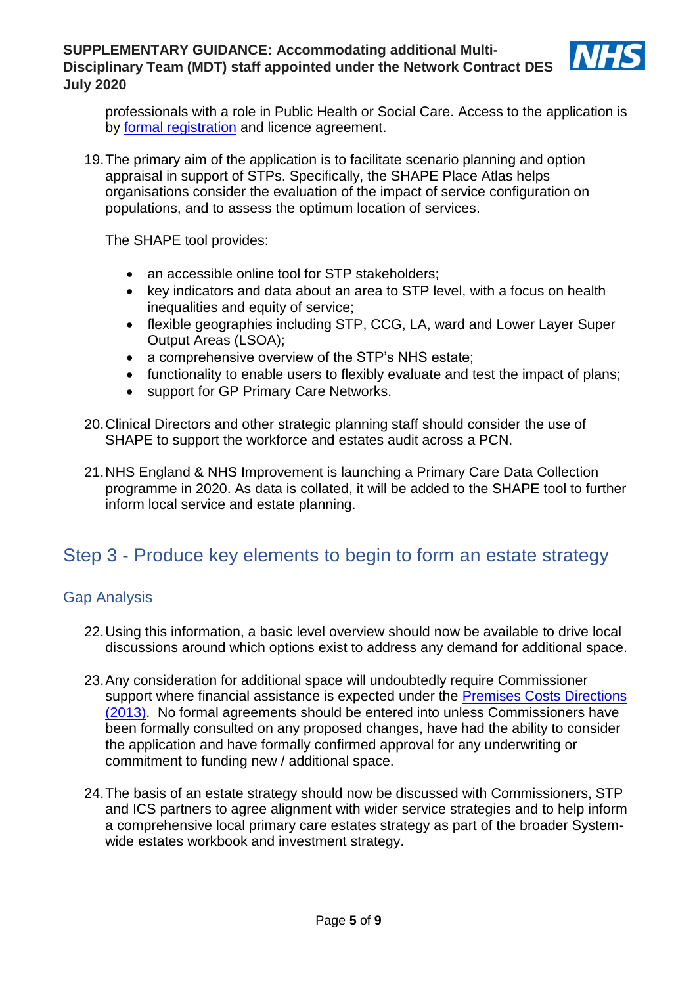

professionals with a role in Public Health or Social Care. Access to the application is by [formal registration](https://shapeatlas.net/user-registration/) and licence agreement.

19.The primary aim of the application is to facilitate scenario planning and option appraisal in support of STPs. Specifically, the SHAPE Place Atlas helps organisations consider the evaluation of the impact of service configuration on populations, and to assess the optimum location of services.

The SHAPE tool provides:

- an accessible online tool for STP stakeholders;
- key indicators and data about an area to STP level, with a focus on health inequalities and equity of service;
- flexible geographies including STP, CCG, LA, ward and Lower Layer Super Output Areas (LSOA);
- a comprehensive overview of the STP's NHS estate;
- functionality to enable users to flexibly evaluate and test the impact of plans;
- support for GP Primary Care Networks.
- 20.Clinical Directors and other strategic planning staff should consider the use of SHAPE to support the workforce and estates audit across a PCN.
- 21.NHS England & NHS Improvement is launching a Primary Care Data Collection programme in 2020. As data is collated, it will be added to the SHAPE tool to further inform local service and estate planning.

# Step 3 - Produce key elements to begin to form an estate strategy

### Gap Analysis

- 22.Using this information, a basic level overview should now be available to drive local discussions around which options exist to address any demand for additional space.
- 23.Any consideration for additional space will undoubtedly require Commissioner support where financial assistance is expected under the Premises Costs Directions [\(2013\).](https://assets.publishing.service.gov.uk/government/uploads/system/uploads/attachment_data/file/184017/NHS__General_Medical_Services_-_Premises_Costs__Directions_2013.pdf) No formal agreements should be entered into unless Commissioners have been formally consulted on any proposed changes, have had the ability to consider the application and have formally confirmed approval for any underwriting or commitment to funding new / additional space.
- 24.The basis of an estate strategy should now be discussed with Commissioners, STP and ICS partners to agree alignment with wider service strategies and to help inform a comprehensive local primary care estates strategy as part of the broader Systemwide estates workbook and investment strategy.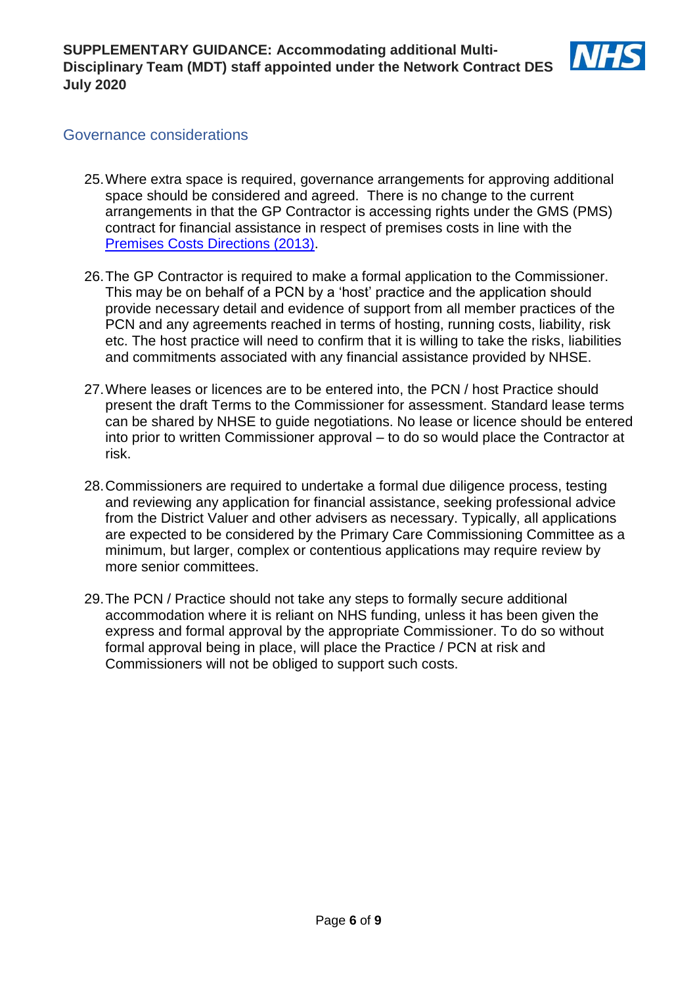

### Governance considerations

- 25.Where extra space is required, governance arrangements for approving additional space should be considered and agreed. There is no change to the current arrangements in that the GP Contractor is accessing rights under the GMS (PMS) contract for financial assistance in respect of premises costs in line with the [Premises Costs Directions \(2013\).](https://assets.publishing.service.gov.uk/government/uploads/system/uploads/attachment_data/file/184017/NHS__General_Medical_Services_-_Premises_Costs__Directions_2013.pdf)
- 26.The GP Contractor is required to make a formal application to the Commissioner. This may be on behalf of a PCN by a 'host' practice and the application should provide necessary detail and evidence of support from all member practices of the PCN and any agreements reached in terms of hosting, running costs, liability, risk etc. The host practice will need to confirm that it is willing to take the risks, liabilities and commitments associated with any financial assistance provided by NHSE.
- 27.Where leases or licences are to be entered into, the PCN / host Practice should present the draft Terms to the Commissioner for assessment. Standard lease terms can be shared by NHSE to guide negotiations. No lease or licence should be entered into prior to written Commissioner approval – to do so would place the Contractor at risk.
- 28.Commissioners are required to undertake a formal due diligence process, testing and reviewing any application for financial assistance, seeking professional advice from the District Valuer and other advisers as necessary. Typically, all applications are expected to be considered by the Primary Care Commissioning Committee as a minimum, but larger, complex or contentious applications may require review by more senior committees.
- 29.The PCN / Practice should not take any steps to formally secure additional accommodation where it is reliant on NHS funding, unless it has been given the express and formal approval by the appropriate Commissioner. To do so without formal approval being in place, will place the Practice / PCN at risk and Commissioners will not be obliged to support such costs.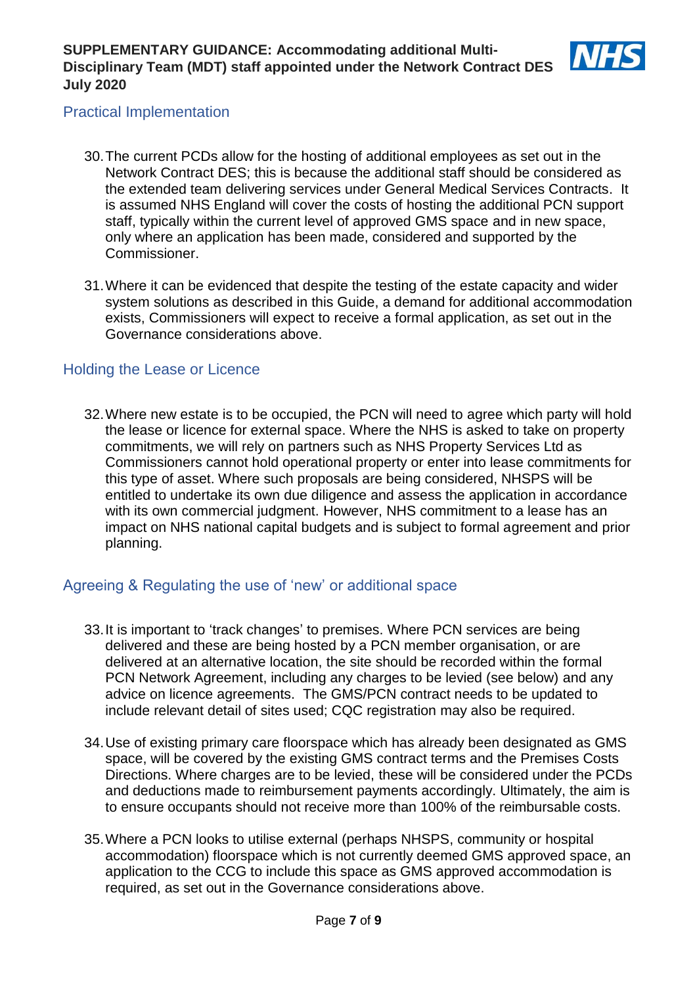

## Practical Implementation

- 30.The current PCDs allow for the hosting of additional employees as set out in the Network Contract DES; this is because the additional staff should be considered as the extended team delivering services under General Medical Services Contracts. It is assumed NHS England will cover the costs of hosting the additional PCN support staff, typically within the current level of approved GMS space and in new space, only where an application has been made, considered and supported by the Commissioner.
- 31.Where it can be evidenced that despite the testing of the estate capacity and wider system solutions as described in this Guide, a demand for additional accommodation exists, Commissioners will expect to receive a formal application, as set out in the Governance considerations above.

## Holding the Lease or Licence

32.Where new estate is to be occupied, the PCN will need to agree which party will hold the lease or licence for external space. Where the NHS is asked to take on property commitments, we will rely on partners such as NHS Property Services Ltd as Commissioners cannot hold operational property or enter into lease commitments for this type of asset. Where such proposals are being considered, NHSPS will be entitled to undertake its own due diligence and assess the application in accordance with its own commercial judgment. However, NHS commitment to a lease has an impact on NHS national capital budgets and is subject to formal agreement and prior planning.

# Agreeing & Regulating the use of 'new' or additional space

- 33.It is important to 'track changes' to premises. Where PCN services are being delivered and these are being hosted by a PCN member organisation, or are delivered at an alternative location, the site should be recorded within the formal PCN Network Agreement, including any charges to be levied (see below) and any advice on licence agreements. The GMS/PCN contract needs to be updated to include relevant detail of sites used; CQC registration may also be required.
- 34.Use of existing primary care floorspace which has already been designated as GMS space, will be covered by the existing GMS contract terms and the Premises Costs Directions. Where charges are to be levied, these will be considered under the PCDs and deductions made to reimbursement payments accordingly. Ultimately, the aim is to ensure occupants should not receive more than 100% of the reimbursable costs.
- 35.Where a PCN looks to utilise external (perhaps NHSPS, community or hospital accommodation) floorspace which is not currently deemed GMS approved space, an application to the CCG to include this space as GMS approved accommodation is required, as set out in the Governance considerations above.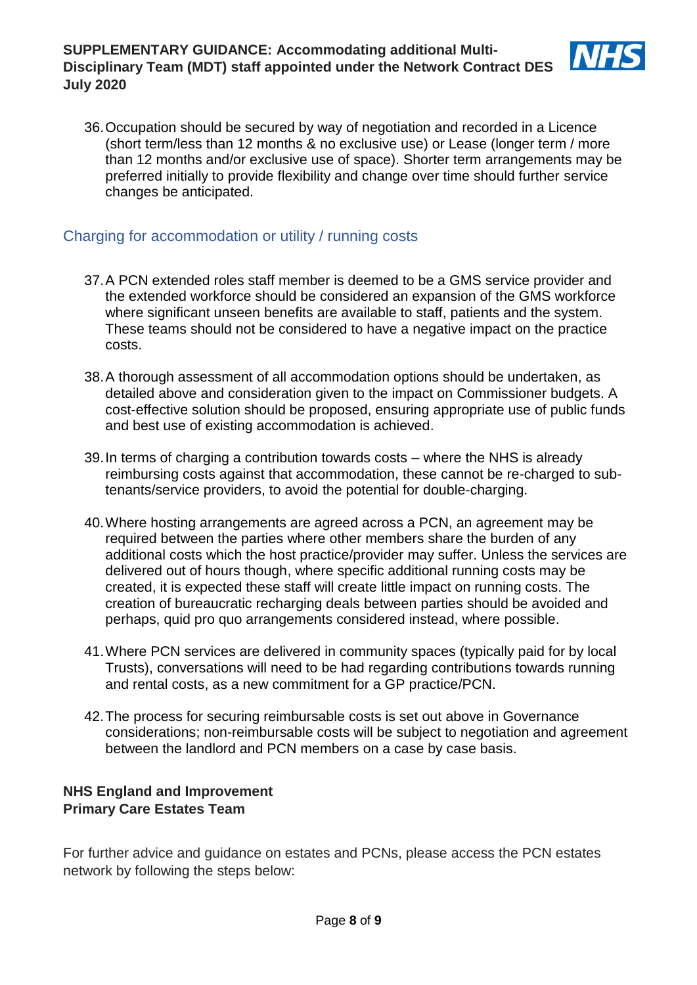

36.Occupation should be secured by way of negotiation and recorded in a Licence (short term/less than 12 months & no exclusive use) or Lease (longer term / more than 12 months and/or exclusive use of space). Shorter term arrangements may be preferred initially to provide flexibility and change over time should further service changes be anticipated.

### Charging for accommodation or utility / running costs

- 37.A PCN extended roles staff member is deemed to be a GMS service provider and the extended workforce should be considered an expansion of the GMS workforce where significant unseen benefits are available to staff, patients and the system. These teams should not be considered to have a negative impact on the practice costs.
- 38.A thorough assessment of all accommodation options should be undertaken, as detailed above and consideration given to the impact on Commissioner budgets. A cost-effective solution should be proposed, ensuring appropriate use of public funds and best use of existing accommodation is achieved.
- 39.In terms of charging a contribution towards costs where the NHS is already reimbursing costs against that accommodation, these cannot be re-charged to subtenants/service providers, to avoid the potential for double-charging.
- 40.Where hosting arrangements are agreed across a PCN, an agreement may be required between the parties where other members share the burden of any additional costs which the host practice/provider may suffer. Unless the services are delivered out of hours though, where specific additional running costs may be created, it is expected these staff will create little impact on running costs. The creation of bureaucratic recharging deals between parties should be avoided and perhaps, quid pro quo arrangements considered instead, where possible.
- 41.Where PCN services are delivered in community spaces (typically paid for by local Trusts), conversations will need to be had regarding contributions towards running and rental costs, as a new commitment for a GP practice/PCN.
- 42.The process for securing reimbursable costs is set out above in Governance considerations; non-reimbursable costs will be subject to negotiation and agreement between the landlord and PCN members on a case by case basis.

### **NHS England and Improvement Primary Care Estates Team**

For further advice and guidance on estates and PCNs, please access the PCN estates network by following the steps below: